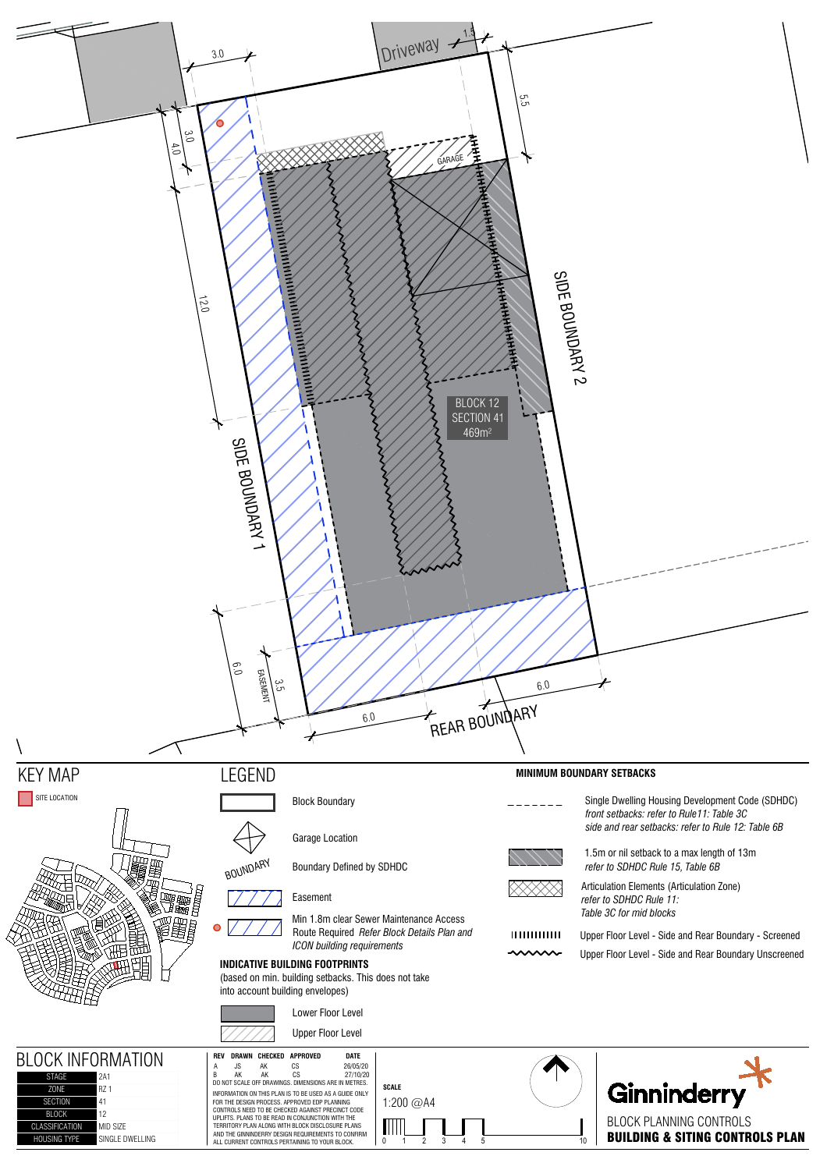